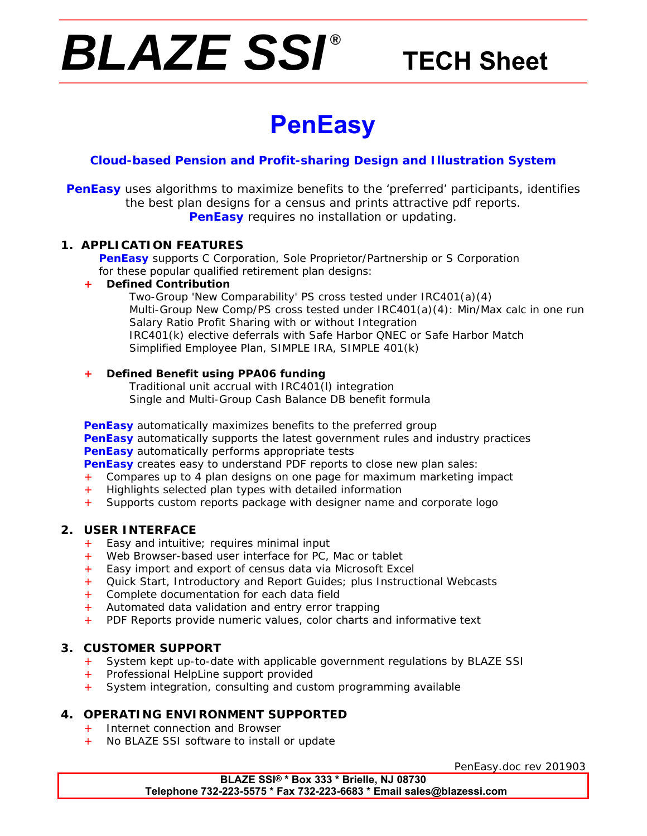# *BLAZE SSI ®*

# **TECH Sheet**

# **PenEasy**

### **Cloud-based Pension and Profit-sharing Design and Illustration System**

**PenEasy** uses algorithms to maximize benefits to the 'preferred' participants, identifies the best plan designs for a census and prints attractive pdf reports. **PenEasy** requires no installation or updating.

#### **1. APPLICATION FEATURES**

 **PenEasy** supports C Corporation, Sole Proprietor/Partnership or S Corporation for these popular qualified retirement plan designs:

#### **+ Defined Contribution**

 Two-Group 'New Comparability' PS cross tested under IRC401(a)(4) Multi-Group New Comp/PS cross tested under IRC401(a)(4): Min/Max calc in one run Salary Ratio Profit Sharing with or without Integration IRC401(k) elective deferrals with Safe Harbor QNEC or Safe Harbor Match Simplified Employee Plan, SIMPLE IRA, SIMPLE 401(k)

#### **+ Defined Benefit using PPA06 funding**

 Traditional unit accrual with IRC401(l) integration Single and Multi-Group Cash Balance DB benefit formula

**PenEasy** automatically maximizes benefits to the preferred group **PenEasy** automatically supports the latest government rules and industry practices **PenEasy** automatically performs appropriate tests

**PenEasy** creates easy to understand PDF reports to close new plan sales:

- Compares up to 4 plan designs on one page for maximum marketing impact
- Highlights selected plan types with detailed information
- + Supports custom reports package with designer name and corporate logo

#### **2. USER INTERFACE**

- + Easy and intuitive; requires minimal input
- + Web Browser-based user interface for PC, Mac or tablet
- + Easy import and export of census data via Microsoft Excel
- + Quick Start, Introductory and Report Guides; plus Instructional Webcasts
- + Complete documentation for each data field
- Automated data validation and entry error trapping
- + PDF Reports provide numeric values, color charts and informative text

#### **3. CUSTOMER SUPPORT**

- + System kept up-to-date with applicable government regulations by BLAZE SSI
- Professional HelpLine support provided
- System integration, consulting and custom programming available

#### **4. OPERATING ENVIRONMENT SUPPORTED**

- + Internet connection and Browser
- + No BLAZE SSI software to install or update

PenEasy.doc rev 201903